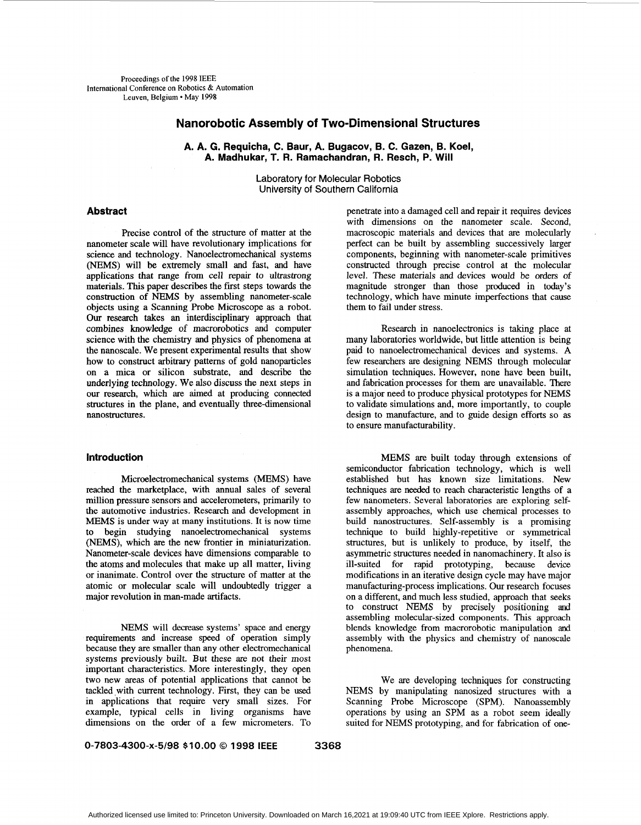**Proceedings of the 1998 IEEE International Conference on Robotics** & **Automation Leuven, Belgium** - **May 1998** 

# **Nanorobotic Assembly of Two-Dimensional Structures**

**A. A. G. Requicha, C. Baur, A. Bugacov, B. C. Garen, B. Koel, A. Madhukar, T. R. Ramachandran, R. Resch, P. Will** 

> Laboratory for Molecular Robotics University of Southern California

#### **Abstract**

Precise control of the structure of matter at the nanometer scale will have revolutionary implications for science and technology. Nanoelectromechanical systems (NEMS) will be extremely small and fast, and have applications that range from cell repair to ultrastrong materials. This paper describes the first steps towards the construction of NEMS by assembling nanometer-scale objects using a Scanning Probe Microscope as a robot. **Our** research takes an interdisciplinary approach that combines knowledge of macrorobotics and computer science with the chemistry and physics of phenomena at the nanoscale. We present experimental results that show how to construct arbitrary patterns of gold nanoparticles on a mica or silicon substrate, and describe the underlying technology. We also discuss the next steps in our research, which are aimed at producing connected structures in the plane, and eventually three-dimensional nanostructures.

## **Introduction**

Microelectromechanical systems (MEMS) have reached the marketplace, with annual sales of several million pressure sensors and accelerometers, primarily to the automotive industries. Research and development in MEMS **is** under way at many institutions. It is now time to begin studying nanoelectromechanical systems (NEMS), which **are** the new frontier in miniaturization. Nanometer-scale devices have dimensions comparable to the atoms and molecules that make up all matter, living or inanimate. Control over the structure of matter at the atomic or molecular scale will undoubtedly trigger a major revolution in man-made artifacts.

NEMS will decrease systems' space and energy requirements and increase speed of operation simply because they are smaller than any other electromechanical systems previously built. But these **are** not their most important characteristics. More interestingly, they open two new areas of potential applications that cannot be tackled,with current technology. First, they can be used in applications that require very small sizes. For example, typical cells in living organisms have dimensions on the order of a few micrometers. To

penetrate into a damaged cell and repair it requires devices with dimensions on the nanometer scale. Second, macroscopic materials and devices that are molecularly perfect can be built by assembling successively larger components, beginning with nanometer-scale primitives constructed through precise control at the molecular level. These materials and devices would be orders of magnitude stronger than those produced in today's technology, which have minute imperfections that cause them to fail under stress.

Research in nanoelectronics is taking place at many laboratories worldwide, but little attention is being paid to nanoelectromechanical devices and systems. **A**  few researchers **are** designing NEMS through molecular simulation techniques. However, none have been built, and fabrication processes for them are unavailable. There is a major need to produce physical prototypes for NEMS to validate simulations and, more importantly, to couple design to manufacture, and to guide design efforts so **as**  to ensure manufacturability.

MEMS are built today through extensions of semiconductor fabrication technology, which is well established but has known size limitations. New techniques are needed to reach characteristic lengths of a few nanometers. Several laboratories are exploring selfassembly approaches, which use chemical processes to build nanostructures. Self-assembly is a promising technique to build highly-repetitive or symmetrical structures, but is unlikely to produce, by itself, the asymmetric structures needed in nanomachinery. It also is ill-suited for rapid prototyping, because device modifications in an iterative design cycle may have major manufacturing-process implications. Our research focuses on a different, and much less studied, approach that seeks to construct NEMS by precisely positioning and assembling molecular-sized components. This approach blends knowledge from macrorobotic manipulation and assembly with the physics and chemistry of nanoscale phenomena.

We are developing techniques for constructing NEMS by manipulating nanosized structures with a Scanning Probe Microscope (SPM). Nanoassembly operations by using an SPM **as** a robot seem ideally suited for NEMS prototyping, and for fabrication of one-

**0-7803-4300-~-5/98 \$10.00** *0* **1998 lEEE 3368**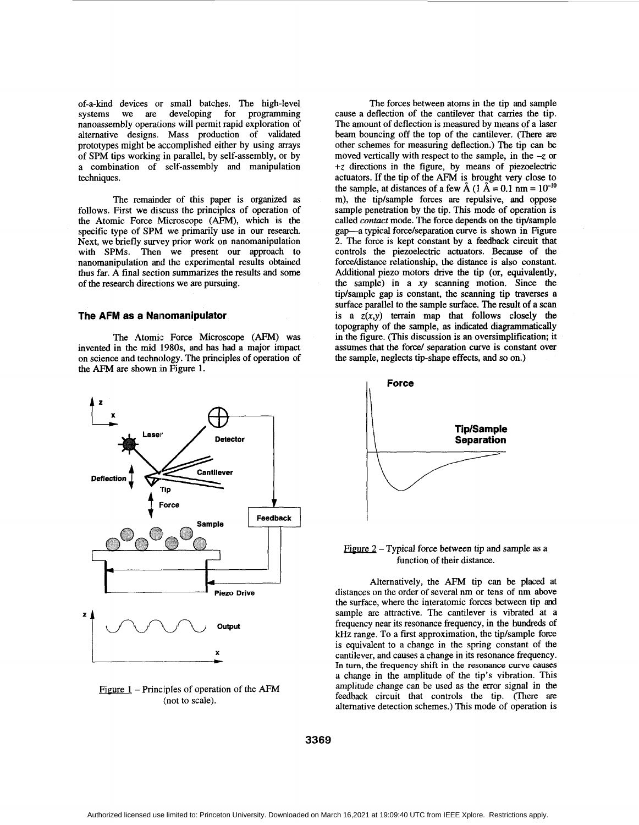<span id="page-1-0"></span>of-a-kind devices or small batches. The high-level systems we are developing for programming nanoassembly operations will pennit rapid exploration of alternative designs. Mass production of validated prototypes might be accomplished either by using arrays of SPM tips working in parallel, by self-assembly, or by a combination of self-assembly and manipulation techniques.

The remainder of this paper is organized **as**  follows. First we discuss the principles of operation of the Atomic Force IMicroscope *(AFM),* which is the specific type of SPM we primarily use in our research. Next, we briefly survey prior work on nanomanipulation with SPMs. Then we present our approach to nanomanipulation and the experimental results obtained thus far. A final section summarizes the results and some of the research directions we are pursuing.

## **The AFM as a Nainomanipulator**

The Atomic Force Microscope *(AFM)* was invented in the mid **1980s.** and has had a major impact on science and technology. The principles of operation of the AFM are shown in Figure 1.



Figure 1 - Principles of operation of the **AFM**  (not to scale).

The forces between atoms in the tip and sample cause a deflection of the cantilever that carries the tip. The amount of deflection is measured by means of a laser beam bouncing off the top of the cantilever. (There are other schemes for measuring deflection.) The tip can be moved vertically with respect to the sample, in the *-z* or  $+z$  directions in the figure, by means of piezoelectric actuators. If the tip of the *AFM* is. brought very close to the sample, at distances of a few  $\rm \AA$  (1  $\rm \AA = 0.1$  nm =  $10^{-10}$ ) m), the tip/sample forces **are** repulsive, and oppose sample penetration by the tip. **This** mode of operation is called contact mode. The force depends on the tip/sample gap-a typical force/separation curve is shown in Figure 2. The force is kept constant by a feedback circuit that controls the piezoelectric actuators. Because of the force/distance relationship, the distance is also constant. Additional piezo motors drive the tip (or, equivalently, the sample) in a *xy* scanning motion. Since the tip/sample gap is constant, the scanning tip traverses a surface parallel to the sample surface. The result of a scan is a  $z(x,y)$  terrain map that follows closely the topography of the sample, as indicated diagrammatically in the figure. (This discussion is an oversimplification; it assumes that the force/ separation curve is constant over the sample, neglects tip-shape effects, and so on.)



Figure 2 - Typical force between tip and sample **as** <sup>a</sup> function of their distance.

Alternatively, the AFM tip can be placed at distances on the order of several nm or tens of nm above the surface, where the interatomic forces between tip and sample are attractive. The cantilever is vibrated at a frequency near its resonance frequency, in the hundreds of kHz range. To a first approximation, the tip/sample force is equivalent to a change in the spring constant of the cantilever, and causes a change in its resonance frequency. In turn, the frequency **shift** in **the resonance** curve causes a change in the amplitude of the tip's vibration. This amplitude change can be used as the error signal in the feedback circuit that controls the tip. (There **are**  alternative detection schemes.) This mode of operation is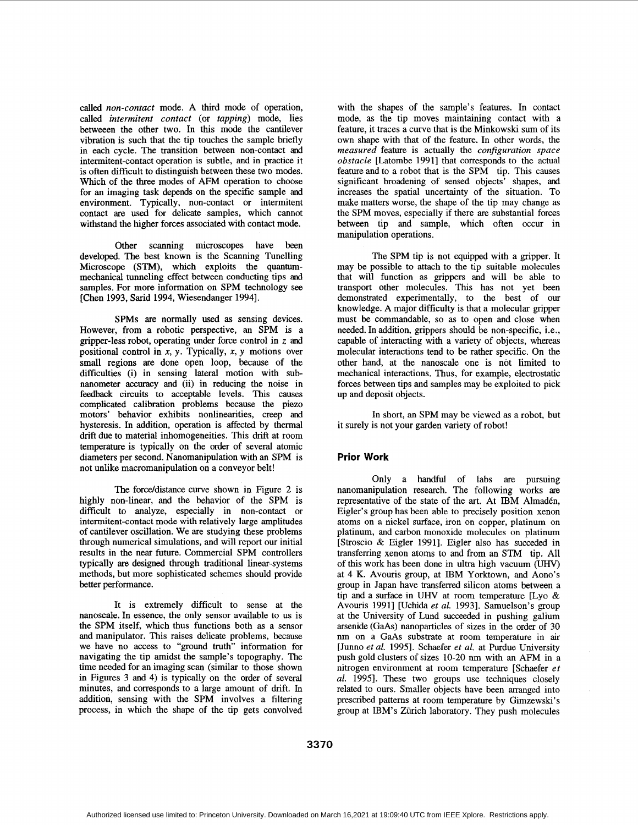called *non-contact* mode. A third mode of operation, called *intermitent contact* (or *tapping)* mode, lies betweeen the other two. In this mode the cantilever vibration is such that the tip touches the sample briefly in each cycle. The transition between non-contact and intermitent-contact operation is subtle, and in practice it is often difficult to distinguish between these two modes. Which of the three modes of AFM operation to choose for an imaging task depends on the specific sample and environment. Typically, non-contact or intermitent contact are used for delicate samples, which cannot withstand the higher forces associated with contact mode.

Other scanning microscopes have been developed. The best known is the Scanning Tunelling Microscope **(STM),** which exploits the quantummechanical tunneling effect between conducting tips and samples. For more information on SPM technology see [Chen 1993, Sarid 1994, Wiesendanger 1994].

SPMs are normally used as sensing devices. However, from a robotic perspective, an SPM is a gripper-less robot, operating under force control in z and positional control in *x,* **y.** Typically, *x,* **y** motions over small regions are done open loop, because of the difficulties (i) in sensing lateral motion with subnanometer accuracy and (ii) in reducing the noise in feedback circuits to acceptable levels. This causes complicated calibration problems because the piezo motors' behavior exhibits nonlinearities, creep and hysteresis. In addition, operation is affected by thermal drift due to material inhomogeneities. This drift at room temperature is typically on the order of several atomic diameters per second. Nanomanipulation with an SPM is not unlike macromanipulation on a conveyor belt!

The force/distance curve shown in [Figure 2](#page-1-0) is highly non-linear, and the behavior of the SPM is difficult to analyze, especially in non-contact or intermitent-contact mode with relatively large amplitudes of cantilever oscillation. We are studying these problems through numerical simulations, and will report our initial results in the near future. Commercial SPM controllers typically are designed through traditional linear-systems methods, but more sophisticated schemes should provide better performance.

It is extremely difficult to sense at the nanoscale. In essence, the only sensor available to us is the SPM itself, which thus functions both **as** a sensor and manipulator. This raises delicate problems, because we have no access to "ground truth" information for navigating the tip amidst the sample's topography. The time needed for an imaging scan (similar to those shown in [Figures 3](#page-4-0) and 4) is typically on the order of several minutes, and corresponds to a large amount of drift. In addition, sensing with the SPM involves a filtering process, in which the shape of the tip gets convolved

with the shapes of the sample's features. In contact mode, as the tip moves maintaining contact with a feature, it traces a curve that is the Minkowski sum of its own shape with that of the feature. In other words, the *measured* feature is actually the *configuration space obstacle* [Latombe 1991] that corresponds to the actual feature and to a robot that is the SPM tip. This causes significant broadening of sensed objects' shapes, and increases the spatial uncertainty of the situation. To make matters worse, the shape of the tip may change **as**  the SPM moves, especially if there **are** substantial forces between tip and sample, which often occur in manipulation operations.

The SPM tip is not equipped with a gripper. It may be possible to attach to the tip suitable molecules that will function as grippers and will be able to transport other molecules. This has not yet been demonstrated experimentally, to the best of our knowledge. A major difficulty is that a molecular gripper must be commandable, so as to open and close when needed. In addition, grippers should be non-specific, i.e., capable of interacting with a variety of objects, whereas molecular interactions tend to be rather specific. On the other hand, at the nanoscale one is not limited to mechanical interactions. Thus, for example, electrostatic forces between tips and samples may be exploited to pick up and deposit objects.

In short, an SPM may be viewed as a robot, but it surely is not your garden variety of robot!

# **Prior Work**

Only a handful of labs **are** pursuing nanomanipulation research. The following works **are**  representative of the state of the art. At IBM Almadén, Eigler's group has been able to precisely position xenon atoms on a nickel surface, iron on copper, platinum on platinum, and carbon monoxide molecules on platinum [Stroscio & Eigler 19911. Eigler also has succeded in transferring xenon atoms to and from an STM tip. All at 4 K. Avouris group, at IBM Yorktown, and Aono's of this work has been done in ultra high vacuum atinum<br>ded in<br>p. All<br>(UHV)<br>Aono's group in Japan have transferred silicon atoms between a tip and a surface in *UHV* at room temperature [Lyo & Avouris 1991] [Uchida et al. 1993]. Samuelson's group at the University of Lund succeeded in pushing galium arsenide (GaAs) nanopaxticles of sizes in the order of 30 nm on a GaAs substrate at room temperature in *air*  [Junno *et al.* 19951. Schaefer *et al.* at Purdue University push gold clusters of sizes 10-20 nm with an AFM in a nitrogen environment at room temperature [Schaefer *et*  al. 1995]. These two groups use techniques closely related to ours. Smaller objects have been arranged into prescribed patterns at room temperature by Gimzewski's group at IBM's Zurich laboratory. They push molecules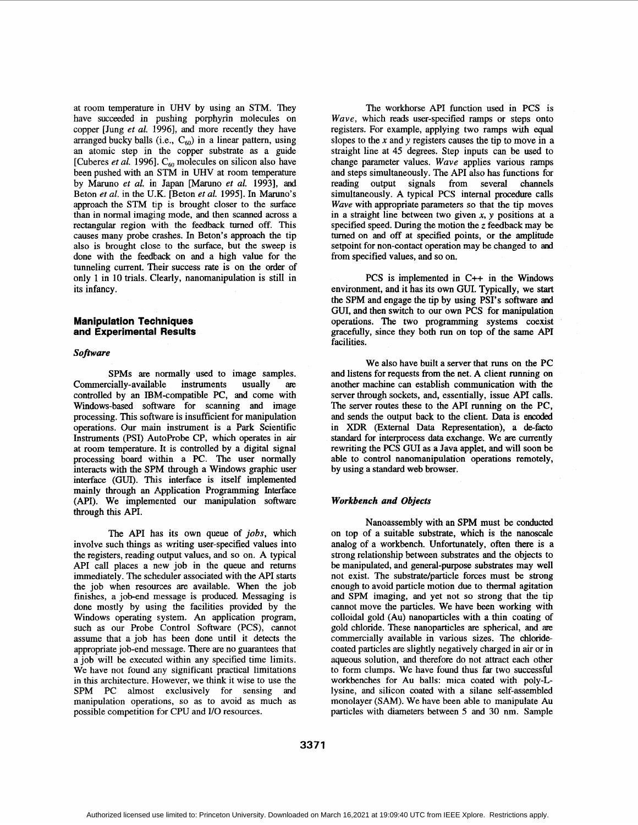at room temperature in UHV by using an **STM.** They have succeeded in pushing porphyrin molecules on copper [Jung et *al.* 19961, and more recently they have arranged bucky balls (i.e.,  $C_{60}$ ) in a linear pattern, using an atomic step in the copper substrate **as** a guide [Cuberes et al. 1996]. C<sub>60</sub> molecules on silicon also have been pushed with an STM in UHV at room temperature by Maruno et al. in Japan [Maruno et al. 1993], and Beton et al. in the U.K. [Beton et al. 1995]. In Maruno's approach the STM tip is brought closer to the surface than in normal imaging mode, and then scanned across a rectangular region with the feedback turned off. This causes many probe crashes. In Beton's approach the tip also is brought close to the surface, but the sweep is done with the feedback on and a high value for the tunneling current. Their success rate is on the order of only 1 in 10 trials. Clearly, nanomanipulation is still in its infancy.

# **Manipulation Techniques and Experimental Results**

#### *Software*

SPMs are normally used to image samples. Commercially-available instruments usually **are**  controlled by an IBM-compatible PC, and come with Windows-based software for scanning and image processing. This software is insufficient for manipulation operations. Our main instrument is a Park Scientific Instruments (PSI) AutoProbe CP, which operates in air at room temperature. It is controlled by a digital signal processing board within a PC. The user normally interacts with the SPM through a Windows graphic user interface (GUI). **This** interface is itself implemented mainly through an Application Programming Interface (API). We implemented our manipulation software through this API.

The API has its own queue of *jobs*, which involve such things as writing user-specified values into the registers, reading output values, and so on. A typical API call places a new job in the queue and returns immediately. The scheduler associated with the API starts the job when resounces are available. When the job finishes, a job-end message is produced. Messaging is done mostly by using the facilities provided by the Windows operating system. An application program, such as our Probe Control Software (PCS), cannot assume that a job has been done until it detects the appropriate job-end message. There are no guarantees that a job will be executed within any specified time limits. We have not found any significant practical limitations in this architecture. However, we think it wise to use the SPM PC almost exclusively for sensing and manipulation operations, so as to avoid as much **as**  possible competition for CPU and *U0* resources.

The workhorse API function used in PCS is *Wave,* which **reads** user-specified ramps or steps onto registers. For example, applying two ramps with **equal**  slopes to the *x* and y registers causes the tip to move in a straight line at **45** degrees. Step inputs can be used to change parameter values. *Wave* applies various ramps and steps simultaneously. The API also has functions for reading output signals from several channels simultaneously. A typical PCS intemal procedure calls *Wave* with appropriate parameters so that the tip moves in a straight line between two given *x,* y positions at a specified speed. During the motion the  $z$  feedback may be turned on and off at specified points, or the amplitude setpoint for non-contact operation may be changed to **and**  from specified values, and so on.

PCS is implemented in C++ in the Windows environment, and it has its own GUI. Typically, we start the SPM and engage the tip by using PSI'S software **and**  GUI, and then switch to our own PCS for manipulation operations. The two programming systems coexist gracefully, since they both run on top of the same API facilities.

We also have built a server that runs on the PC and listens for requests from the net. A client running on another machine can establish communication with the server through sockets, and, essentially, issue API calls. The server routes these to the API running on the PC, and sends the output back to the client. Data is encoded in XDR (External Data Representation), a de-facto standard for interprocess data exchange. We **are** currently rewriting the PCS GUI as a Java applet, and will soon be able to control nanomanipulation operations remotely, by using a standard web browser.

# *Workbench and Objects*

Nanoassembly with an SPM must be conducted on top of a suitable substrate, which is the nanoscale analog of a workbench. Unfortunately, often there is a strong relationship between substrates and the objects to be manipulated, and general-purpose substrates may well not exist. The substrate/particle forces must be strong enough to avoid particle motion due to thermal agitation and SPM imaging, and yet not so strong that the tip cannot move the particles. We have been working with colloidal gold (Au) nanoparticles with a thin coating of gold chloride. These nanoparticles **are** spherical, and **are**  commercially available in various sizes. The chloridecoated particles are slightly negatively charged in air or in aqueous solution, and therefore do not attract each other to form clumps. We have found thus far two successful workbenches for Au balls: mica coated with po1y-Llysine, and silicon coated with a silane self-assembled monolayer (SAM). We have been able to manipulate Au particles with diameters between 5 and 30 nm. Sample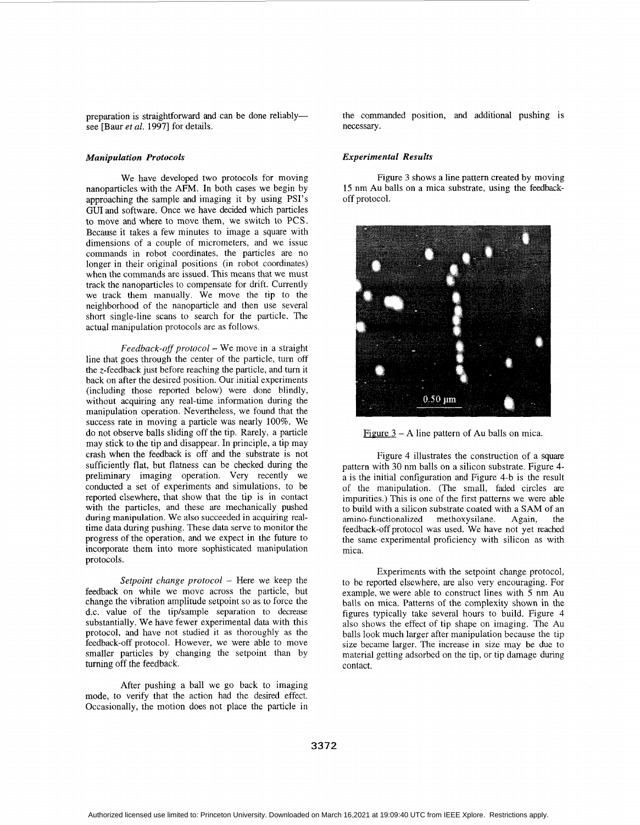<span id="page-4-0"></span>preparation is straightforward and can be done reliablysee [Baur *et al.* 19971 for details.

#### *Manipulation Protocols*

We have developed two protocols for moving nanoparticles with the AFM. In both cases we begin by approaching the sample and imaging it by using PSI'S GUI and software. Once we have decided which particles to move and where to move them, we switch to PCS. Because it takes a few minutes to image a square with dimensions of a couple of micrometers, and we issue commands in robot coordinates, the particles are no longer in their original positions (in robot coordinates) when the commands are issued. This means that we must track the nanoparticles to compensate for drift. Currently we track them manually. We move the tip to the neighborhood of the nanoparticle and then use several short single-line scans to search for the particle. The actual manipulation protocols are as follows.

*Feedback-off protocol* - We move in a straight line that goes through the center of the particle, turn off the 2-feedback just before reaching the particle, and turn it back on after the desired position. Our initial experiments (including those reported below) were done blindly, without acquiring any real-time information during the manipulation operation. Nevertheless, we found that the success rate in moving a particle was nearly 100%. We do not observe balls sliding off the tip. Rarely, a particle may stick to the tip and disappear. In principle, a tip may crash when the feedback is off and the substrate is not sufficiently flat, but flatness can be checked during the preliminary imaging operation. Very recently we conducted a set of experiments and simulations, to be reported elsewhere, that show that the tip is in contact with the particles, and these are mechanically pushed during manipulation. We also succeeded in acquiring realtime data during pushing. These data serve to monitor the progress of the operation, and we expect in the future to incorporate them into more sophisticated manipulation protocols.

*Setpoint change protocol* - Here we keep the feedback on while we move across the particle, but change the vibration amplitude setpoint so as to force the d.c. value of the tip/sample separation to decrease substantially. We have fewer experimental data with this protocol, and have not studied it as thoroughly as the feedback-off protocol. However, we were able to move smaller particles by changing the setpoint than by turning off the feedback.

After pushing a ball we go back to imaging mode, to verify that the action had the desired effect. Occasionally, the motion does not place the particle in the commanded position, and additional pushing is necessary.

#### *Experimental Results*

Figure *3* shows a line pattern created by moving 15 nm Au balls on a mica substrate, using the feedbackoff protocol.



Figure 3 - **A** line pattern of Au balls on mica.

[Figure 4](#page-5-0) illustrates the construction of a square pattern with 30 nm balls on a silicon substrate. [Figure 4](#page-5-0) a is the initial configuration and Figure 4-b is the result of the manipulation. (The small, faded circles are impurities.) This is one of the first patterns we were able to build with a silicon substrate coated with a **SAM** of an amino-functionalized methoxysilane. Again, the feedback-off protocol was used. We have not yet reached the same experimental proficiency with silicon as with mica.

Experiments with the setpoint change protocol, to be reported elsewhere, are also very encouraging. For example, we were able to construct lines with *5* nm Au balls on mica. Patterns of the complexity shown in the figures typically take several hours to build. [Figure 4](#page-5-0) also shows the effect of tip shape on imaging. The Au balls look much larger after manipulation because the tip size became larger. The increase in size may be due to material getting adsorbed on the tip, cr tip damage during contact.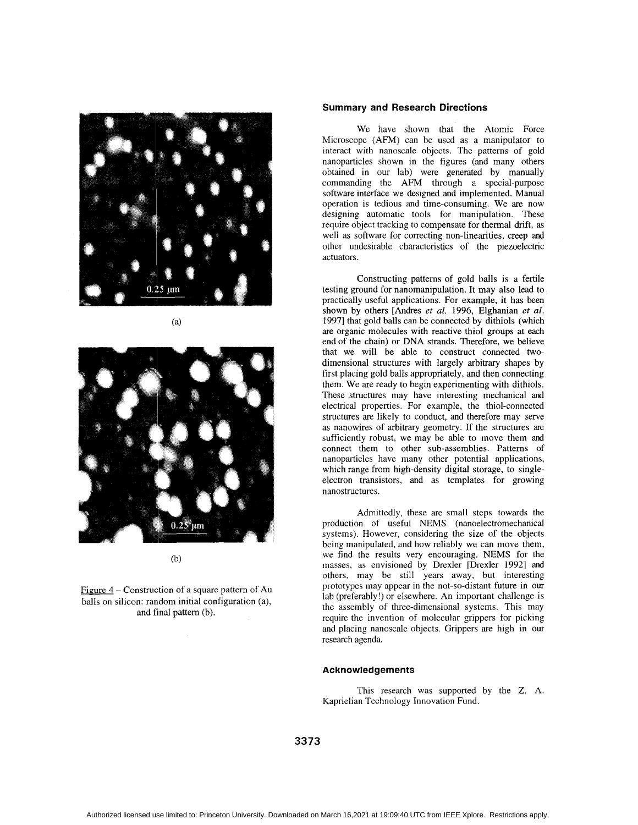<span id="page-5-0"></span>

 $(a)$ 



 $(b)$ 

Figure  $4$  – Construction of a square pattern of Au balls on silicon: random initial configuration (a), and final pattern (b).

#### **Summary and Research Directions**

We have shown that the Atomic Force Microscope (AFM) can be used as a manipulator to interact with nanoscale objects. The patterns of gold nanoparticles shown in the figures (and many others obtained in our lab) were generated by manually commanding the AFM through a special-purpose software interface we designed and implemented. Manual operation is tedious and time-consuming. We are now designing automatic tools for manipulation. These require object tracking to compensate for thermal drift, **as**  well as software for correcting non-linearities, creep and other undesirable characteristics of the piezoelectric actuators.

Constructing patterns of gold balls is a fertile testing ground for nanomanipulation. It may also lead to practically useful applications. For example, it has been shown by others [Andres *et al.* 1996, Elghanian *et al.*  19971 that gold balls can be connected by dithiols (which are organic molecules with reactive thiol groups at each end of the chain) or DNA strands. Therefore, we believe that we will be able to construct connected twodimensional structures with largely arbitrary shapes by first placing gold balls appropriately, and then connecting them. We are ready to begin experimenting with dithiols. These structures may have interesting mechanical and electrical properties. For example, the thiol-connected structures are likely to conduct, and therefore may serve as nanowires of arbitrary geometry. If the structures are sufficiently robust, we may be able to move them and connect them to other sub-assemblies. Patterns of nanoparticles have many other potential applications, which range from high-density digital storage, to singleelectron transistors, and as templates for growing nanostructures.

Admittedly, these are small steps towards the production of useful NEMS (nanoelectromechanical systems). However, considering the size of the objects being manipulated, and how reliably we can move them, we find the results very encouraging. NEMS for the masses, as envisioned by Drexler [Drexler 1992] and others, may be still years away, but interesting prototypes may appear in the not-so-distant future in our lab (preferably!) or elsewhere. An important challenge is the assembly of three-dimensional systems. This may require the invention of molecular grippers for picking and placing nanoscale objects. Grippers are high in our research agenda.

## **Acknowledgements**

This research was supported by the Z. A. Kaprielian Technology Innovation Fund.

# **3373**